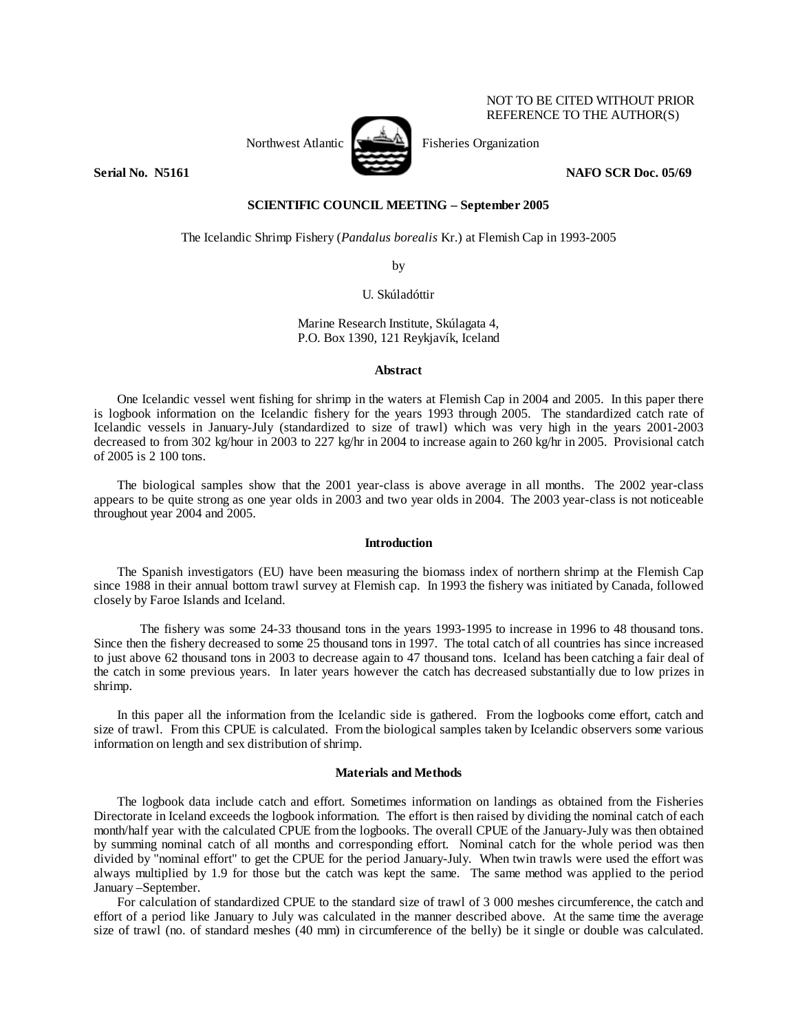Northwest Atlantic  $\left[\begin{array}{cc} \sqrt{1-\frac{1}{2}} & \text{Fisheries Organization} \end{array}\right]$ 

NOT TO BE CITED WITHOUT PRIOR REFERENCE TO THE AUTHOR(S)

# **Serial No. 35161** NAFO SCR Doc. 05/69

## **SCIENTIFIC COUNCIL MEETING – September 2005**

The Icelandic Shrimp Fishery (*Pandalus borealis* Kr.) at Flemish Cap in 1993-2005

by

# U. Skúladóttir

## Marine Research Institute, Skúlagata 4, P.O. Box 1390, 121 Reykjavík, Iceland

### **Abstract**

 One Icelandic vessel went fishing for shrimp in the waters at Flemish Cap in 2004 and 2005. In this paper there is logbook information on the Icelandic fishery for the years 1993 through 2005. The standardized catch rate of Icelandic vessels in January-July (standardized to size of trawl) which was very high in the years 2001-2003 decreased to from 302 kg/hour in 2003 to 227 kg/hr in 2004 to increase again to 260 kg/hr in 2005. Provisional catch of 2005 is 2 100 tons.

 The biological samples show that the 2001 year-class is above average in all months. The 2002 year-class appears to be quite strong as one year olds in 2003 and two year olds in 2004. The 2003 year-class is not noticeable throughout year 2004 and 2005.

### **Introduction**

 The Spanish investigators (EU) have been measuring the biomass index of northern shrimp at the Flemish Cap since 1988 in their annual bottom trawl survey at Flemish cap. In 1993 the fishery was initiated by Canada, followed closely by Faroe Islands and Iceland.

The fishery was some 24-33 thousand tons in the years 1993-1995 to increase in 1996 to 48 thousand tons. Since then the fishery decreased to some 25 thousand tons in 1997. The total catch of all countries has since increased to just above 62 thousand tons in 2003 to decrease again to 47 thousand tons. Iceland has been catching a fair deal of the catch in some previous years. In later years however the catch has decreased substantially due to low prizes in shrimp.

 In this paper all the information from the Icelandic side is gathered. From the logbooks come effort, catch and size of trawl. From this CPUE is calculated. From the biological samples taken by Icelandic observers some various information on length and sex distribution of shrimp.

## **Materials and Methods**

 The logbook data include catch and effort. Sometimes information on landings as obtained from the Fisheries Directorate in Iceland exceeds the logbook information. The effort is then raised by dividing the nominal catch of each month/half year with the calculated CPUE from the logbooks. The overall CPUE of the January-July was then obtained by summing nominal catch of all months and corresponding effort. Nominal catch for the whole period was then divided by "nominal effort" to get the CPUE for the period January-July. When twin trawls were used the effort was always multiplied by 1.9 for those but the catch was kept the same. The same method was applied to the period January –September.

For calculation of standardized CPUE to the standard size of trawl of 3 000 meshes circumference, the catch and effort of a period like January to July was calculated in the manner described above. At the same time the average size of trawl (no. of standard meshes (40 mm) in circumference of the belly) be it single or double was calculated.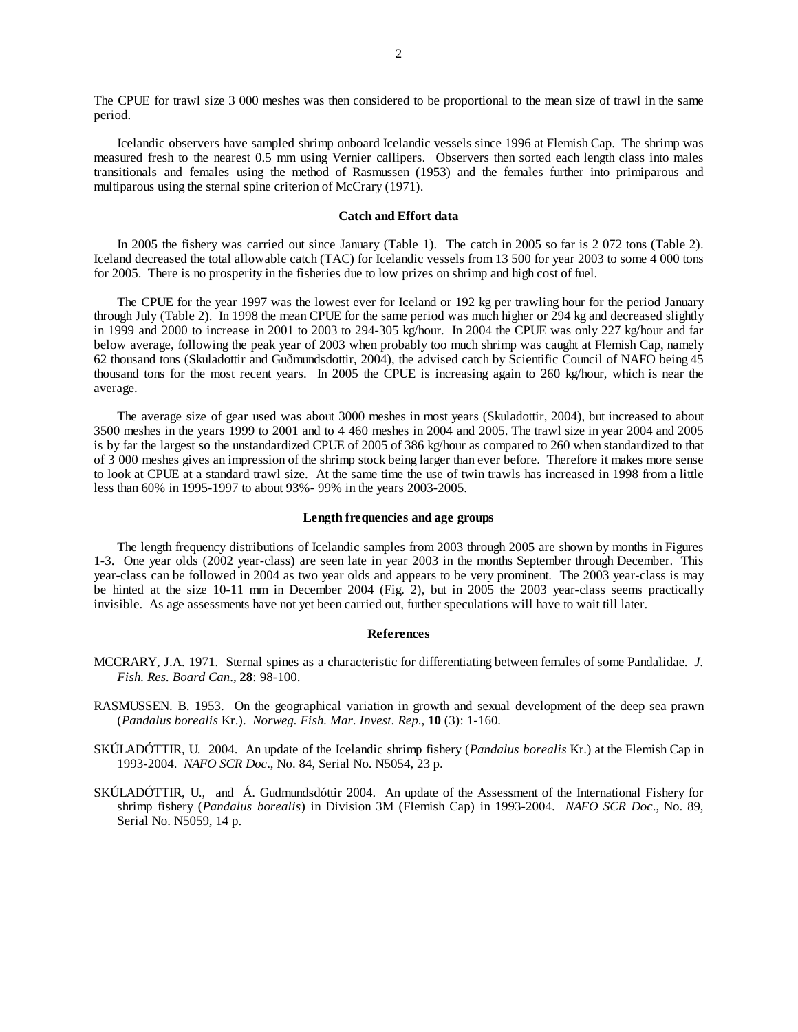The CPUE for trawl size 3 000 meshes was then considered to be proportional to the mean size of trawl in the same period.

Icelandic observers have sampled shrimp onboard Icelandic vessels since 1996 at Flemish Cap. The shrimp was measured fresh to the nearest 0.5 mm using Vernier callipers. Observers then sorted each length class into males transitionals and females using the method of Rasmussen (1953) and the females further into primiparous and multiparous using the sternal spine criterion of McCrary (1971).

### **Catch and Effort data**

 In 2005 the fishery was carried out since January (Table 1). The catch in 2005 so far is 2 072 tons (Table 2). Iceland decreased the total allowable catch (TAC) for Icelandic vessels from 13 500 for year 2003 to some 4 000 tons for 2005. There is no prosperity in the fisheries due to low prizes on shrimp and high cost of fuel.

 The CPUE for the year 1997 was the lowest ever for Iceland or 192 kg per trawling hour for the period January through July (Table 2). In 1998 the mean CPUE for the same period was much higher or 294 kg and decreased slightly in 1999 and 2000 to increase in 2001 to 2003 to 294-305 kg/hour. In 2004 the CPUE was only 227 kg/hour and far below average, following the peak year of 2003 when probably too much shrimp was caught at Flemish Cap, namely 62 thousand tons (Skuladottir and Guðmundsdottir, 2004), the advised catch by Scientific Council of NAFO being 45 thousand tons for the most recent years. In 2005 the CPUE is increasing again to 260 kg/hour, which is near the average.

The average size of gear used was about 3000 meshes in most years (Skuladottir, 2004), but increased to about 3500 meshes in the years 1999 to 2001 and to 4 460 meshes in 2004 and 2005. The trawl size in year 2004 and 2005 is by far the largest so the unstandardized CPUE of 2005 of 386 kg/hour as compared to 260 when standardized to that of 3 000 meshes gives an impression of the shrimp stock being larger than ever before. Therefore it makes more sense to look at CPUE at a standard trawl size. At the same time the use of twin trawls has increased in 1998 from a little less than 60% in 1995-1997 to about 93%- 99% in the years 2003-2005.

#### **Length frequencies and age groups**

 The length frequency distributions of Icelandic samples from 2003 through 2005 are shown by months in Figures 1-3. One year olds (2002 year-class) are seen late in year 2003 in the months September through December. This year-class can be followed in 2004 as two year olds and appears to be very prominent. The 2003 year-class is may be hinted at the size 10-11 mm in December 2004 (Fig. 2), but in 2005 the 2003 year-class seems practically invisible. As age assessments have not yet been carried out, further speculations will have to wait till later.

#### **References**

- MCCRARY, J.A. 1971. Sternal spines as a characteristic for differentiating between females of some Pandalidae*. J. Fish. Res. Board Can*., **28**: 98-100.
- RASMUSSEN. B. 1953. On the geographical variation in growth and sexual development of the deep sea prawn (*Pandalus borealis* Kr.). *Norweg. Fish. Mar. Invest. Rep*., **10** (3): 1-160.
- SKÚLADÓTTIR, U. 2004. An update of the Icelandic shrimp fishery (*Pandalus borealis* Kr.) at the Flemish Cap in 1993-2004. *NAFO SCR Doc*., No. 84, Serial No. N5054, 23 p.
- SKÚLADÓTTIR, U., and Á. Gudmundsdóttir 2004. An update of the Assessment of the International Fishery for shrimp fishery (*Pandalus borealis*) in Division 3M (Flemish Cap) in 1993-2004. *NAFO SCR Doc*., No. 89, Serial No. N5059, 14 p.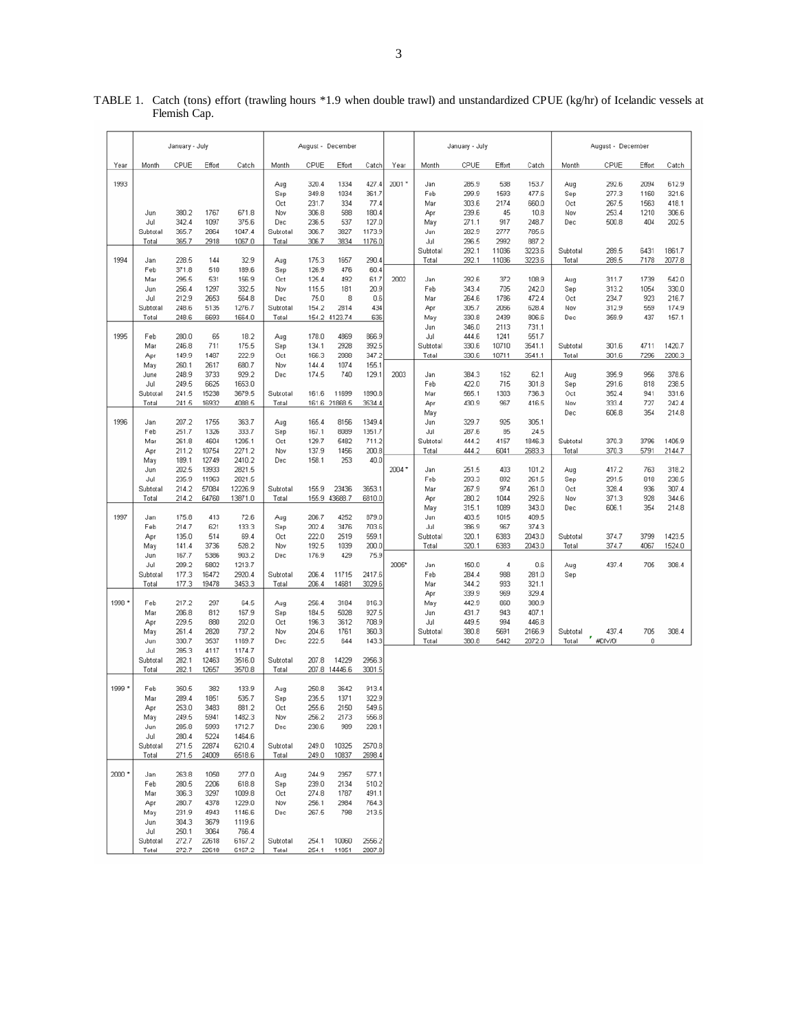|        | January - July    |                |                |                  | August - December |                |                 |                 | January - July |                   |                | August - December |                  |                   |                       |            |                |
|--------|-------------------|----------------|----------------|------------------|-------------------|----------------|-----------------|-----------------|----------------|-------------------|----------------|-------------------|------------------|-------------------|-----------------------|------------|----------------|
| Year   | Month             | CPUE           | Effort         | Catch            | Month             | CPUE           | Effort          | Catch           | Year           | Month             | CPUE           | Effort            | Catch            | Month             | CPUE                  | Effort     | Catch          |
| 1993   |                   |                |                |                  | Aug               | 320.4          | 1334            | 427.4           | 2001 *         | Jan               | 285.9          | 538               | 153.7            | Aug               | 292.6                 | 2094       | 612.9          |
|        |                   |                |                |                  | Sep               | 349.8          | 1034            | 361.7           |                | Feb               | 299.9          | 1593              | 477.6            | Sep               | 277.3                 | 1160       | 321.6          |
|        |                   |                |                |                  | Oct               | 231.7          | 334             | 77.4            |                | Mar               | 303.6          | 2174              | 660.0            | Oct               | 267.5                 | 1563       | 418.1          |
|        | Jun               | 380.2          | 1767           | 671.8            | Nov               | 306.8          | 588             | 180.4           |                | Apr               | 239.6          | 45                | 10.8             | Nov               | 253.4                 | 1210       | 306.6          |
|        | Jul<br>Subtotal   | 342.4<br>365.7 | 1097<br>2864   | 375.6<br>1047.4  | Dec<br>Subtotal   | 236.5<br>306.7 | 537<br>3827     | 127.0<br>1173.9 |                | May<br>Jun        | 271.1<br>282.9 | 917<br>2777       | 248.7<br>785.6   | Dec               | 500.8                 | 404        | 202.5          |
|        | Total             | 365.7          | 2918           | 1067.0           | Total             | 306.7          | 3834            | 1176.0          |                | Jul               | 296.5          | 2992              | 887.2            |                   |                       |            |                |
|        |                   |                |                |                  |                   |                |                 |                 |                | Subtotal          | 292.1          | 11036             | 3223.6           | Subtotal          | 289.5                 | 6431       | 1861.7         |
| 1994   | Jan               | 228.5          | 144            | 32.9             | Aug               | 175.3          | 1657            | 290.4           |                | Total             | 292.1          | 11036             | 3223.6           | Total             | 289.5                 | 7178       | 2077.8         |
|        | Feb               | 371.8          | 510            | 189.6            | Sep               | 126.9          | 476             | 60.4            |                |                   |                |                   |                  |                   |                       |            |                |
|        | Mar               | 295.5          | 531            | 156.9            | Oct               | 125.4          | 492             | 61.7            | 2002           | Jan               | 292.6          | 372               | 108.9            | Aug               | 311.7                 | 1739       | 542.0          |
|        | Jun               | 256.4          | 1297           | 332.5            | Nov               | 115.5          | 181             | 20.9            |                | Feb               | 343.4          | 705               | 242.0            | Sep               | 313.2                 | 1054       | 330.0          |
|        | Jul               | 212.9          | 2653           | 564.8            | Dec               | 75.0           | 8               | 0.6             |                | Mar               | 264.6          | 1786              | 472.4            | Oct               | 234.7                 | 923        | 216.7          |
|        | Subtotal<br>Total | 248.6<br>248.6 | 5135<br>6693   | 1276.7<br>1664.0 | Subtotal<br>Total | 154.2<br>154.2 | 2814<br>4123.74 | 434<br>636      |                | Apr<br>May        | 305.7<br>330.8 | 2056<br>2439      | 628.4<br>806.6   | Nov<br>Dec        | 312.9<br>359.9        | 559<br>437 | 174.9<br>157.1 |
|        |                   |                |                |                  |                   |                |                 |                 |                | Jun               | 346.0          | 2113              | 731.1            |                   |                       |            |                |
| 1995   | Feb               | 280.0          | 65             | 18.2             | Aug               | 178.0          | 4869            | 866.9           |                | Jul               | 444.6          | 1241              | 551.7            |                   |                       |            |                |
|        | Mar               | 246.8          | 711            | 175.5            | Sep               | 134.1          | 2928            | 392.5           |                | Subtotal          | 330.6          | 10710             | 3541.1           | Subtotal          | 301.6                 | 4711       | 1420.7         |
|        | Apr               | 149.9          | 1487           | 222.9            | Oct               | 166.3          | 2088            | 347.2           |                | Total             | 330.6          | 10711             | 3541.1           | Total             | 301.6                 | 7296       | 2200.3         |
|        | May               | 260.1          | 2617           | 680.7            | Nov               | 144.4          | 1074            | 155.1           |                |                   |                |                   |                  |                   |                       |            |                |
|        | June              | 248.9          | 3733           | 929.2            | Dec               | 174.5          | 740             | 129.1           | 2003           | Jan               | 384.3          | 162               | 62.1             | Aug               | 395.9                 | 956        | 378.6          |
|        | Jul               | 249.5<br>241.5 | 6625<br>15238  | 1653.0           | Subtotal          |                | 11699           | 1890.8          |                | Feb               | 422.0          | 715               | 301.8            | Sep               | 291.6                 | 818<br>941 | 238.5<br>331.6 |
|        | Subtotal<br>Total | 241.5          | 16932          | 3679.5<br>4088.5 | Total             | 161.6          | 161.6 21868.5   | 3534.4          |                | Mar<br>Apr        | 565.1<br>430.9 | 1303<br>967       | 736.3<br>416.5   | Oct<br>Nov        | 352.4<br>333.4        | 727        | 242.4          |
|        |                   |                |                |                  |                   |                |                 |                 |                | May               |                |                   |                  | Dec               | 606.8                 | 354        | 214.8          |
| 1996   | Jan               | 207.2          | 1755           | 363.7            | Aug               | 165.4          | 8156            | 1349.4          |                | Jun               | 329.7          | 925               | 305.1            |                   |                       |            |                |
|        | Feb               | 251.7          | 1326           | 333.7            | Sep               | 167.1          | 8089            | 1351.7          |                | Jul               | 287.6          | 85                | 24.5             |                   |                       |            |                |
|        | Mar               | 261.8          | 4604           | 1205.1           | Oct               | 129.7          | 5482            | 711.2           |                | Subtotal          | 444.2          | 4157              | 1846.3           | Subtotal          | 370.3                 | 3796       | 1405.9         |
|        | Apr               | 211.2          | 10754          | 2271.2           | Nov               | 137.9          | 1456            | 200.8           |                | Total             | 444.2          | 6041              | 2683.3           | Total             | 370.3                 | 5791       | 2144.7         |
|        | May               | 189.1          | 12749          | 2410.2           | Dec               | 158.1          | 253             | 40.0            |                |                   |                |                   |                  |                   |                       |            |                |
|        | Jun               | 202.5<br>235.9 | 13933<br>11963 | 2821.5<br>2821.5 |                   |                |                 |                 | 2004 *         | Jan<br>Feb        | 251.5<br>293.3 | 403<br>892        | 101.2<br>261.5   | Aug               | 417.2<br>291.5        | 763<br>818 | 318.2<br>238.5 |
|        | Jul<br>Subtotal   | 214.2          | 57084          | 12226.9          | Subtotal          | 155.9          | 23436           | 3653.1          |                | Mar               | 267.9          | 974               | 261.0            | Sep<br>Oct        | 328.4                 | 936        | 307.4          |
|        | Total             | 214.2          | 64760          | 13871.0          | Total             |                | 155.9 43688.7   | 6810.0          |                | Apr               | 280.2          | 1044              | 292.6            | Nov               | 371.3                 | 928        | 344.6          |
|        |                   |                |                |                  |                   |                |                 |                 |                | May               | 315.1          | 1089              | 343.0            | Dec               | 606.1                 | 354        | 214.8          |
| 1997   | Jan               | 175.8          | 413            | 72.6             | Aug               | 206.7          | 4252            | 879.0           |                | Jun               | 403.5          | 1015              | 409.5            |                   |                       |            |                |
|        | Feb               | 214.7          | 621            | 133.3            | Sep               | 202.4          | 3476            | 703.6           |                | Jul               | 386.9          | 967               | 374.3            |                   |                       |            |                |
|        | Apr               | 135.0          | 514            | 69.4             | Oct               | 222.0          | 2519            | 559.1           |                | Subtotal          | 320.1          | 6383              | 2043.0           | Subtotal          | 374.7                 | 3799       | 1423.5         |
|        | May               | 141.4<br>167.7 | 3736<br>5386   | 528.2<br>903.2   | Nov               | 192.5<br>176.9 | 1039<br>429     | 200.0<br>75.9   |                | Total             | 320.1          | 6383              | 2043.0           | Total             | 374.7                 | 4067       | 1524.0         |
|        | Jun<br>Jul        | 209.2          | 5802           | 1213.7           | Dec               |                |                 |                 | 2005*          | Jan               | 150.0          | 4                 | 0.6              | Aug               | 437.4                 | 705        | 308.4          |
|        | Subtotal          | 177.3          | 16472          | 2920.4           | Subtotal          | 206.4          | 11715           | 2417.6          |                | Feb               | 284.4          | 988               | 281.0            | Sep               |                       |            |                |
|        | Total             | 177.3          | 19478          | 3453.3           | Total             | 206.4          | 14681           | 3029.6          |                | Mar               | 344.2          | 933               | 321.1            |                   |                       |            |                |
|        |                   |                |                |                  |                   |                |                 |                 |                | Apr               | 339.9          | 969               | 329.4            |                   |                       |            |                |
| 1998 * | Feb               | 217.2          | 297            | 64.5             | Aug               | 256.4          | 3184            | 816.3           |                | May               | 442.9          | 860               | 380.9            |                   |                       |            |                |
|        | Mar               | 206.8          | 812            | 167.9            | Sep               | 184.5          | 5028            | 927.5           |                | Jun               | 431.7          | 943               | 407.1            |                   |                       |            |                |
|        | Apr               | 229.5          | 880            | 202.0            | Oct               | 196.3          | 3612            | 708.9           |                | Jul               | 449.5          | 994               | 446.8            |                   |                       |            |                |
|        | May<br>Jun        | 261.4<br>330.7 | 2820<br>3537   | 737.2<br>1169.7  | Nov<br>Dec        | 204.6<br>222.5 | 1761<br>644     | 360.3<br>143.3  |                | Subtotal<br>Total | 380.8<br>380.8 | 5691<br>5442      | 2166.9<br>2072.0 | Subtotal<br>Total | 437.4<br>۳<br>#DIV/0! | 705<br>0   | 308.4          |
|        | Jul               | 285.3          | 4117           | 1174.7           |                   |                |                 |                 |                |                   |                |                   |                  |                   |                       |            |                |
|        | Subtotal          | 282.1          | 12463          | 3516.0           | Subtotal          | 207.8          | 14229           | 2956.3          |                |                   |                |                   |                  |                   |                       |            |                |
|        | Total             | 282.1          | 12657          | 3570.8           | Total             |                | 207.8 14446.6   | 3001.5          |                |                   |                |                   |                  |                   |                       |            |                |
|        |                   |                |                |                  |                   |                |                 |                 |                |                   |                |                   |                  |                   |                       |            |                |
| 1999 * | Feb               | 350.5          | 382            | 133.9            | Aug               | 250.8          | 3642            | 913.4           |                |                   |                |                   |                  |                   |                       |            |                |
|        | Mar<br>Apr        | 289.4<br>253.0 | 1851<br>3483   | 535.7<br>881.2   | Sep<br>Oct        | 235.5<br>255.6 | 1371<br>2150    | 322.9<br>549.6  |                |                   |                |                   |                  |                   |                       |            |                |
|        | May               | 249.5          | 5941           | 1482.3           | Nov               | 256.2          | 2173            | 556.8           |                |                   |                |                   |                  |                   |                       |            |                |
|        | Jun               | 285.8          | 5993           | 1712.7           | Dec               | 230.6          | 989             | 228.1           |                |                   |                |                   |                  |                   |                       |            |                |
|        | Jul               | 280.4          | 5224           | 1464.6           |                   |                |                 |                 |                |                   |                |                   |                  |                   |                       |            |                |
|        | Subtotal          | 271.5          | 22874          | 6210.4           | Subtotal          | 249.0          | 10325           | 2570.8          |                |                   |                |                   |                  |                   |                       |            |                |
|        | Total             | 271.5          | 24009          | 6518.6           | Total             | 249.0          | 10837           | 2698.4          |                |                   |                |                   |                  |                   |                       |            |                |
|        |                   |                |                |                  |                   |                |                 |                 |                |                   |                |                   |                  |                   |                       |            |                |
| 2000 * | Jan               | 263.8          | 1050           | 277.0            | Aug               | 244.9          | 2357            | 577.1           |                |                   |                |                   |                  |                   |                       |            |                |
|        | Feb               | 280.5<br>306.3 | 2206           | 618.8            | Sep               | 239.0          | 2134<br>1787    | 510.2           |                |                   |                |                   |                  |                   |                       |            |                |
|        | Mar<br>Apr        | 280.7          | 3297<br>4378   | 1009.8<br>1229.0 | Oct<br>Nov        | 274.8<br>256.1 | 2984            | 491.1<br>764.3  |                |                   |                |                   |                  |                   |                       |            |                |
|        | May               | 231.9          | 4943           | 1146.6           | Dec               | 267.5          | 798             | 213.5           |                |                   |                |                   |                  |                   |                       |            |                |
|        | Jun               | 304.3          | 3679           | 1119.6           |                   |                |                 |                 |                |                   |                |                   |                  |                   |                       |            |                |
|        | Jul               | 250.1          | 3064           | 766.4            |                   |                |                 |                 |                |                   |                |                   |                  |                   |                       |            |                |
|        | Subtotal          | 272.7          | 22618          | 6167.2           | Subtotal          | 254.1          | 10060           | 2556.2          |                |                   |                |                   |                  |                   |                       |            |                |
|        | Total             | 272.7          | 22618          | 6167.2           | Total             | 254.1          | 11051           | 2807.8          |                |                   |                |                   |                  |                   |                       |            |                |

|              | TABLE 1. Catch (tons) effort (trawling hours *1.9 when double trawl) and unstandardized CPUE (kg/hr) of Icelandic vessels at |
|--------------|------------------------------------------------------------------------------------------------------------------------------|
| Flemish Cap. |                                                                                                                              |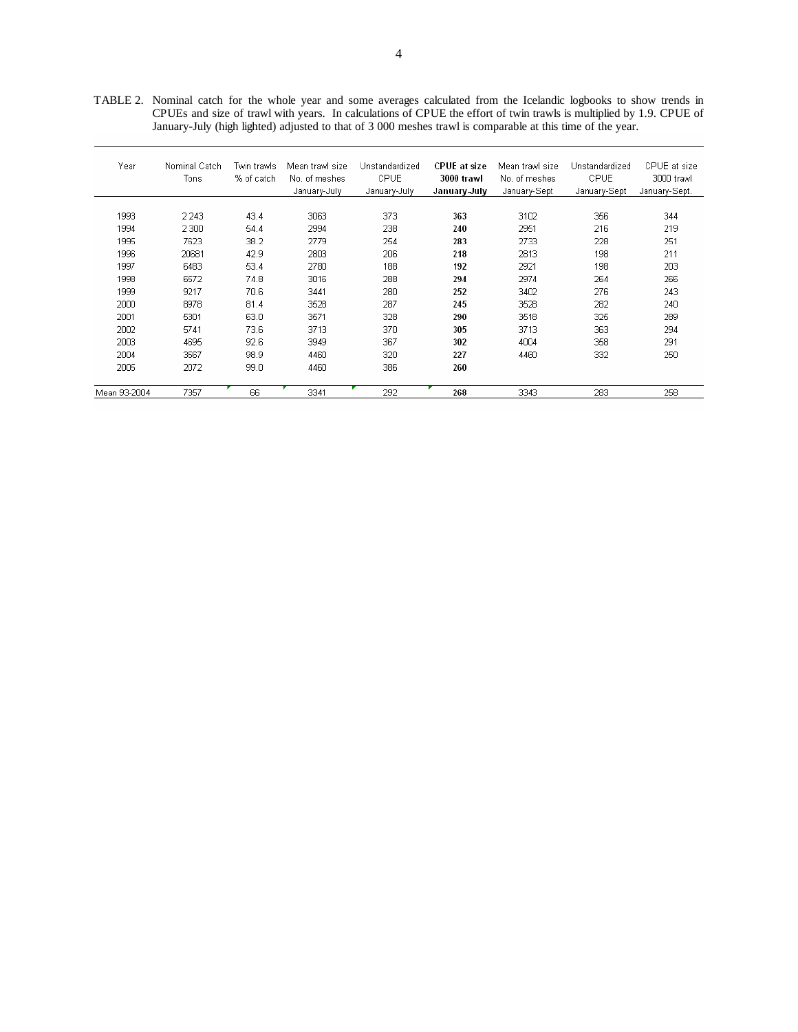TABLE 2. Nominal catch for the whole year and some averages calculated from the Icelandic logbooks to show trends in CPUEs and size of trawl with years. In calculations of CPUE the effort of twin trawls is multiplied by 1.9. CPUE of January-July (high lighted) adjusted to that of 3 000 meshes trawl is comparable at this time of the year.

| Year                                                 | Nominal Catch<br>Tons                                | Twin trawls<br>% of catch                            | Mean trawl size<br>No. of meshes<br>January-July     | Unstandardized<br>CPUE<br>January-July        | <b>CPUE</b> at size<br>3000 trawl<br>January-July | Mean trawl size<br>No. of meshes<br>January-Sept | Unstandardized<br>CPUE<br>January-Sept | CPUE at size<br>3000 trawl<br>January-Sept. |  |
|------------------------------------------------------|------------------------------------------------------|------------------------------------------------------|------------------------------------------------------|-----------------------------------------------|---------------------------------------------------|--------------------------------------------------|----------------------------------------|---------------------------------------------|--|
| 1993<br>1994<br>1995<br>1996<br>1997<br>1998         | 2 2 4 3<br>2 3 0 0<br>7623<br>20681<br>6483<br>6572  | 43.4<br>54.4<br>38.2<br>42.9<br>53.4<br>74.8         | 3063<br>2994<br>2779<br>2803<br>2780<br>3016         | 373<br>238<br>254<br>206<br>188<br>288        | 363<br>240<br>283<br>218<br>192<br>294            | 3102<br>2951<br>2733<br>2813<br>2921<br>2974     | 356<br>216<br>228<br>198<br>198<br>264 | 344<br>219<br>251<br>211<br>203<br>266      |  |
| 1999<br>2000<br>2001<br>2002<br>2003<br>2004<br>2005 | 9217<br>8978<br>5301<br>5741<br>4695<br>3567<br>2072 | 70.6<br>81.4<br>63.0<br>73.6<br>92.6<br>98.9<br>99.0 | 3441<br>3528<br>3571<br>3713<br>3949<br>4460<br>4460 | 280<br>287<br>328<br>370<br>367<br>320<br>386 | 252<br>245<br>290<br>305<br>302<br>227<br>260     | 3402<br>3528<br>3518<br>3713<br>4004<br>4460     | 276<br>282<br>325<br>363<br>358<br>332 | 243<br>240<br>289<br>294<br>291<br>250      |  |
| Mean 93-2004                                         | 7357                                                 | 66                                                   | 3341                                                 | 292                                           | 268                                               | 3343                                             | 283                                    | 258                                         |  |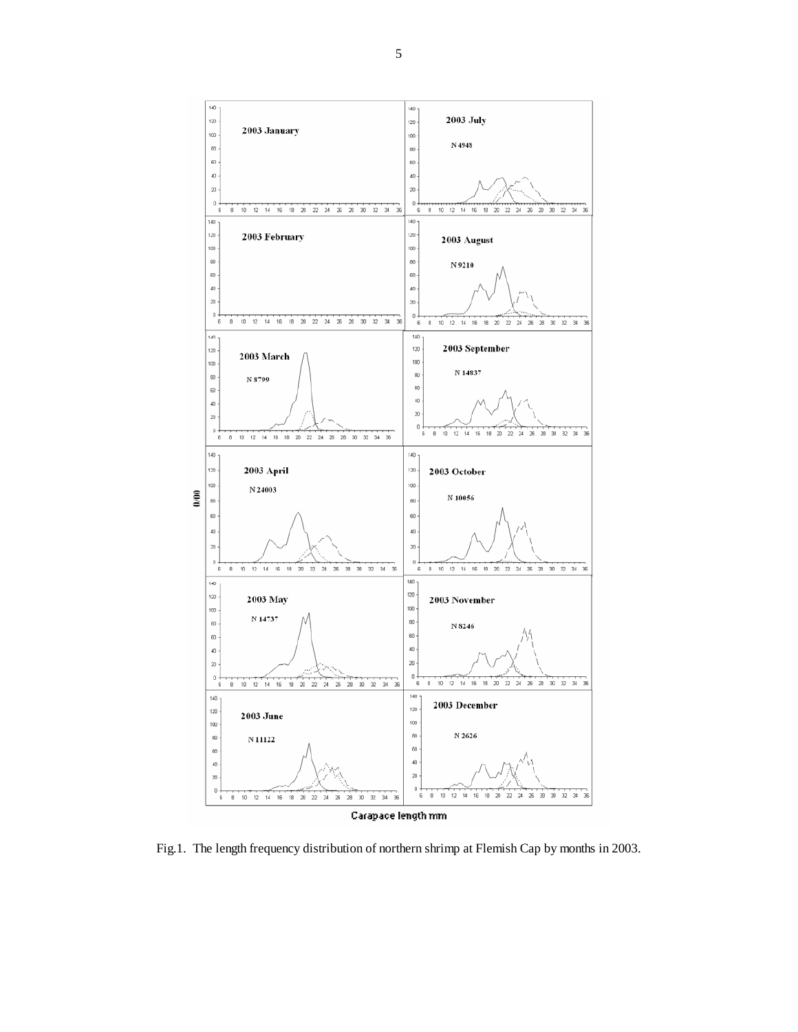

Fig.1. The length frequency distribution of northern shrimp at Flemish Cap by months in 2003.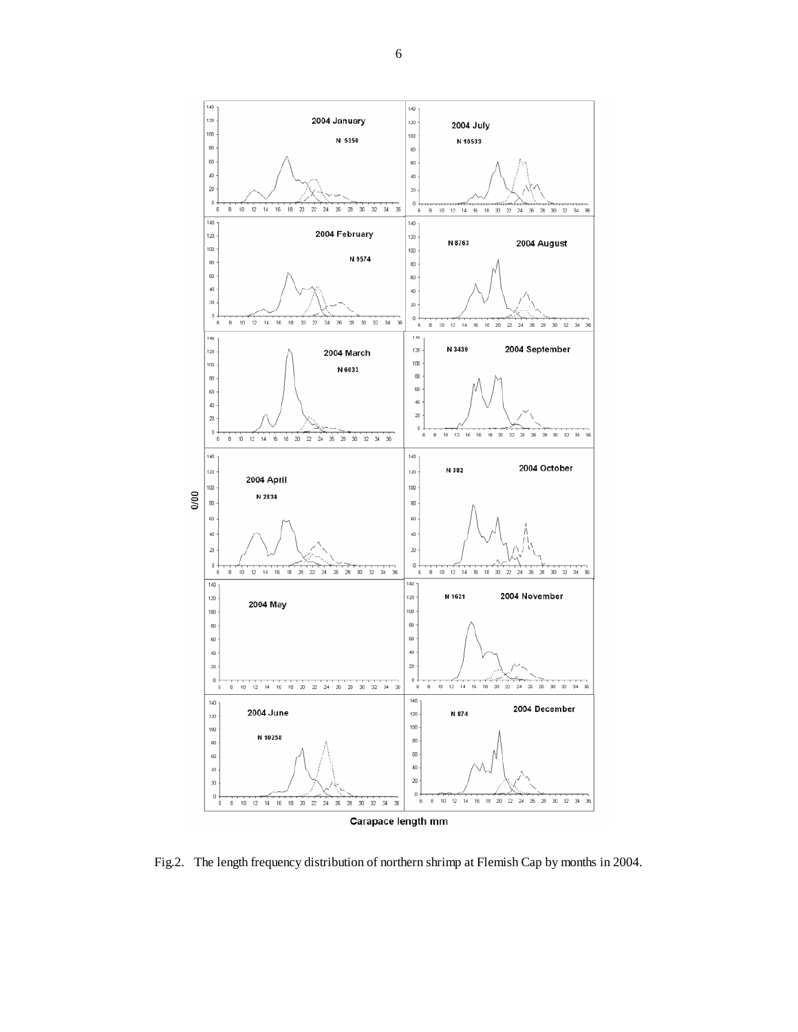

Fig.2. The length frequency distribution of northern shrimp at Flemish Cap by months in 2004.